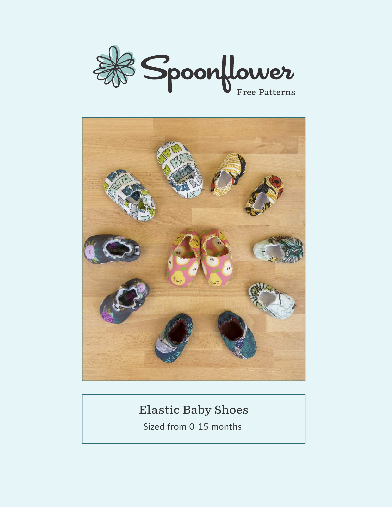



#### **Elastic Baby Shoes**

Sized from 0-15 months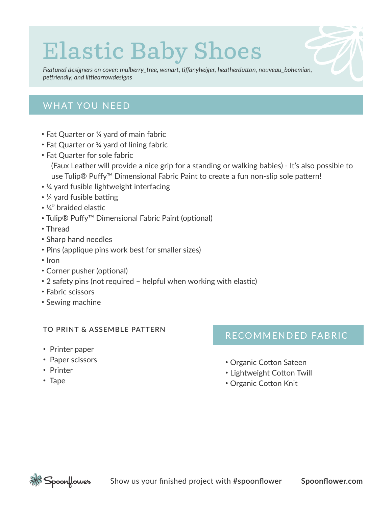# **Elastic Baby Shoes**

*Featured designers on cover: mulberry\_tree, wanart, tiffanyheiger, heatherdutton, nouveau\_bohemian, petfriendly, and littlearrowdesigns*

#### **WHAT YOU NEED**

- Fat Quarter or ¼ yard of main fabric
- Fat Quarter or ¼ yard of lining fabric
- Fat Quarter for sole fabric
	- (Faux Leather will provide a nice grip for a standing or walking babies) It's also possible to use Tulip® Puffy™ Dimensional Fabric Paint to create a fun non-slip sole pattern!
- ¼ yard fusible lightweight interfacing
- ¼ yard fusible batting
- ¼" braided elastic
- Tulip® Puffy™ Dimensional Fabric Paint (optional)
- Thread
- Sharp hand needles
- Pins (applique pins work best for smaller sizes)
- Iron
- Corner pusher (optional)
- 2 safety pins (not required helpful when working with elastic)
- Fabric scissors
- Sewing machine

#### **TO PRINT & ASSEMBLE PATTERN**

- Printer paper
- Paper scissors
- Printer
- Tape

#### RECOMMENDED FABRIC

- Organic Cotton Sateen
- Lightweight Cotton Twill
- Organic Cotton Knit

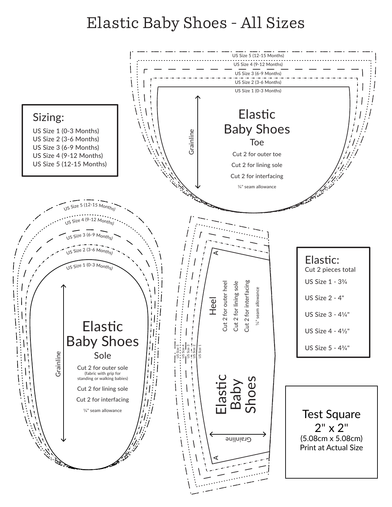# Elastic Baby Shoes - All Sizes

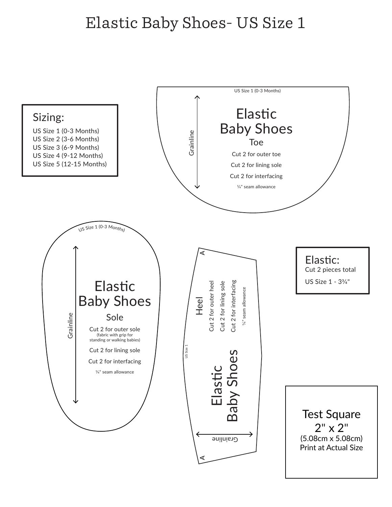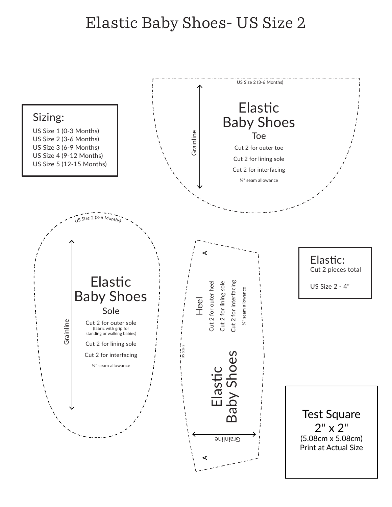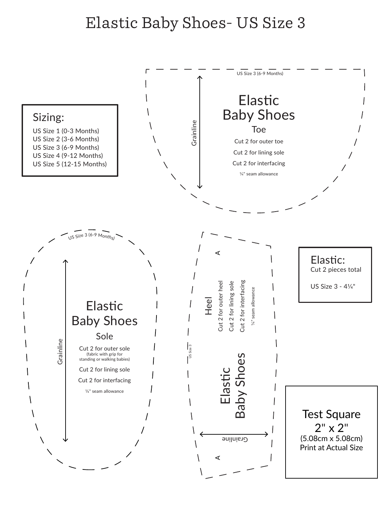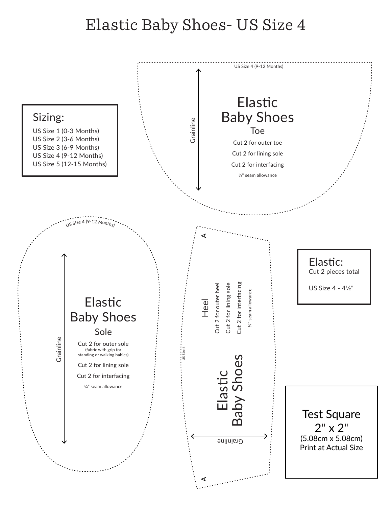